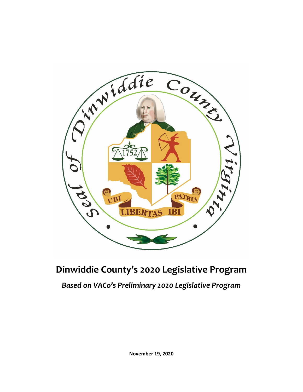

# **Dinwiddie County's 2020 Legislative Program**

*Based on VACo's Preliminary 2020 Legislative Program*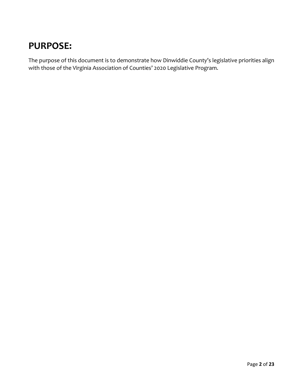# **PURPOSE:**

The purpose of this document is to demonstrate how Dinwiddie County's legislative priorities align with those of the Virginia Association of Counties' 2020 Legislative Program.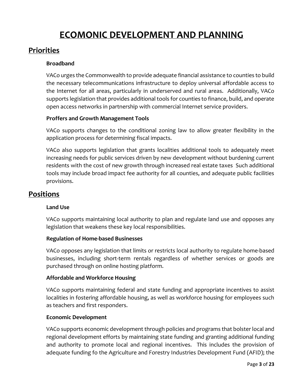# **ECOMONIC DEVELOPMENT AND PLANNING**

# **Priorities**

# **Broadband**

VACo urges the Commonwealth to provide adequate financial assistance to counties to build the necessary telecommunications infrastructure to deploy universal affordable access to the Internet for all areas, particularly in underserved and rural areas. Additionally, VACo supports legislation that provides additional tools for counties to finance, build, and operate open access networks in partnership with commercial Internet service providers.

# **Proffers and Growth Management Tools**

VACo supports changes to the conditional zoning law to allow greater flexibility in the application process for determining fiscal impacts.

VACo also supports legislation that grants localities additional tools to adequately meet increasing needs for public services driven by new development without burdening current residents with the cost of new growth through increased real estate taxes Such additional tools may include broad impact fee authority for all counties, and adequate public facilities provisions.

# **Positions**

# **Land Use**

VACo supports maintaining local authority to plan and regulate land use and opposes any legislation that weakens these key local responsibilities.

# **Regulation of Home-based Businesses**

VACo opposes any legislation that limits or restricts local authority to regulate home-based businesses, including short-term rentals regardless of whether services or goods are purchased through on online hosting platform.

# **Affordable and Workforce Housing**

VACo supports maintaining federal and state funding and appropriate incentives to assist localities in fostering affordable housing, as well as workforce housing for employees such as teachers and first responders.

# **Economic Development**

VACo supports economic development through policies and programs that bolster local and regional development efforts by maintaining state funding and granting additional funding and authority to promote local and regional incentives. This includes the provision of adequate funding fo the Agriculture and Forestry Industries Development Fund (AFID); the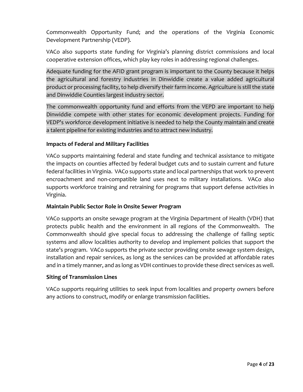Commonwealth Opportunity Fund; and the operations of the Virginia Economic Development Partnership (VEDP).

VACo also supports state funding for Virginia's planning district commissions and local cooperative extension offices, which play key roles in addressing regional challenges.

Adequate funding for the AFID grant program is important to the County because it helps the agricultural and forestry industries in Dinwiddie create a value added agricultural product or processing facility, to help diversify their farm income. Agriculture is still the state and Dinwiddie Counties largest industry sector.

The commonwealth opportunity fund and efforts from the VEPD are important to help Dinwiddie compete with other states for economic development projects. Funding for VEDP's workforce development initiative is needed to help the County maintain and create a talent pipeline for existing industries and to attract new industry.

### **Impacts of Federal and Military Facilities**

VACo supports maintaining federal and state funding and technical assistance to mitigate the impacts on counties affected by federal budget cuts and to sustain current and future federal facilities in Virginia. VACo supports state and local partnerships that work to prevent encroachment and non-compatible land uses next to military installations. VACo also supports workforce training and retraining for programs that support defense activities in Virginia.

### **Maintain Public Sector Role in Onsite Sewer Program**

VACo supports an onsite sewage program at the Virginia Department of Health (VDH) that protects public health and the environment in all regions of the Commonwealth. The Commonwealth should give special focus to addressing the challenge of failing septic systems and allow localities authority to develop and implement policies that support the state's program. VACo supports the private sector providing onsite sewage system design, installation and repair services, as long as the services can be provided at affordable rates and in a timely manner, and as long as VDH continues to provide these direct services as well.

### **Siting of Transmission Lines**

VACo supports requiring utilities to seek input from localities and property owners before any actions to construct, modify or enlarge transmission facilities.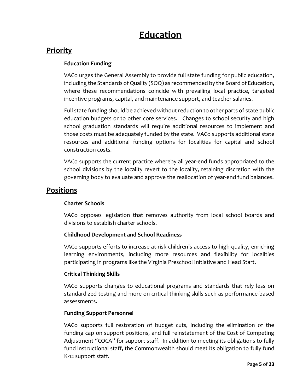# **Education**

# **Priority**

# **Education Funding**

VACo urges the General Assembly to provide full state funding for public education, including the Standards of Quality (SOQ) as recommended by the Board of Education, where these recommendations coincide with prevailing local practice, targeted incentive programs, capital, and maintenance support, and teacher salaries.

Full state funding should be achieved without reduction to other parts of state public education budgets or to other core services. Changes to school security and high school graduation standards will require additional resources to implement and those costs must be adequately funded by the state. VACo supports additional state resources and additional funding options for localities for capital and school construction costs.

VACo supports the current practice whereby all year-end funds appropriated to the school divisions by the locality revert to the locality, retaining discretion with the governing body to evaluate and approve the reallocation of year-end fund balances.

# **Positions**

# **Charter Schools**

VACo opposes legislation that removes authority from local school boards and divisions to establish charter schools.

# **Childhood Development and School Readiness**

VACo supports efforts to increase at-risk children's access to high-quality, enriching learning environments, including more resources and flexibility for localities participating in programs like the Virginia Preschool Initiative and Head Start.

# **Critical Thinking Skills**

VACo supports changes to educational programs and standards that rely less on standardized testing and more on critical thinking skills such as performance-based assessments.

# **Funding Support Personnel**

VACo supports full restoration of budget cuts, including the elimination of the funding cap on support positions, and full reinstatement of the Cost of Competing Adjustment "COCA" for support staff. In addition to meeting its obligations to fully fund instructional staff, the Commonwealth should meet its obligation to fully fund K-12 support staff.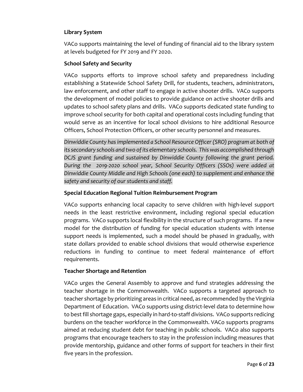# **Library System**

VACo supports maintaining the level of funding of financial aid to the library system at levels budgeted for FY 2019 and FY 2020.

# **School Safety and Security**

VACo supports efforts to improve school safety and preparedness including establishing a Statewide School Safety Drill, for students, teachers, administrators, law enforcement, and other staff to engage in active shooter drills. VACo supports the development of model policies to provide guidance on active shooter drills and updates to school safety plans and drills. VACo supports dedicated state funding to improve school security for both capital and operational costs including funding that would serve as an incentive for local school divisions to hire additional Resource Officers, School Protection Officers, or other security personnel and measures.

*Dinwiddie County has implemented a School Resource Officer (SRO) program at both of its secondary schools and two of its elementary schools. This was accomplished through DCJS grant funding and sustained by Dinwiddie County following the grant period. During the 2019-2020 school year, School Security Officers (SSOs) were added at Dinwiddie County Middle and High Schools (one each) to supplement and enhance the safety and security of our students and staff.*

# **Special Education Regional Tuition Reimbursement Program**

VACo supports enhancing local capacity to serve children with high-level support needs in the least restrictive environment, including regional special education programs. VACo supports local flexibility in the structure of such programs. If a new model for the distribution of funding for special education students with intense support needs is implemented, such a model should be phased in gradually, with state dollars provided to enable school divisions that would otherwise experience reductions in funding to continue to meet federal maintenance of effort requirements.

# **Teacher Shortage and Retention**

VACo urges the General Assembly to approve and fund strategies addressing the teacher shortage in the Commonwealth. VACo supports a targeted approach to teacher shortage by prioritizing areas in critical need, as recommended by the Virginia Department of Education. VACo supports using district-level data to determine how to best fill shortage gaps, especially in hard-to-staff divisions. VACo supports redicing burdens on the teacher workforce in the Commonwealth. VACo supports programs aimed at reducing student debt for teaching in public schools. VACo also supports programs that encourage teachers to stay in the profession including measures that provide mentorship, guidance and other forms of support for teachers in their first five years in the profession.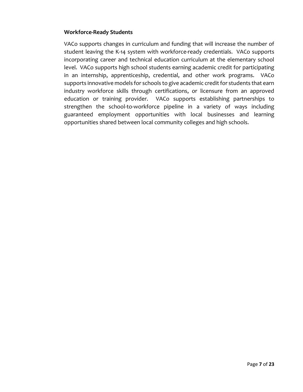### **Workforce-Ready Students**

VACo supports changes in curriculum and funding that will increase the number of student leaving the K-14 system with workforce-ready credentials. VACo supports incorporating career and technical education curriculum at the elementary school level. VACo supports high school students earning academic credit for participating in an internship, apprenticeship, credential, and other work programs. VACo supports innovative models for schools to give academic credit for students that earn industry workforce skills through certifications, or licensure from an approved education or training provider. VACo supports establishing partnerships to strengthen the school-to-workforce pipeline in a variety of ways including guaranteed employment opportunities with local businesses and learning opportunities shared between local community colleges and high schools.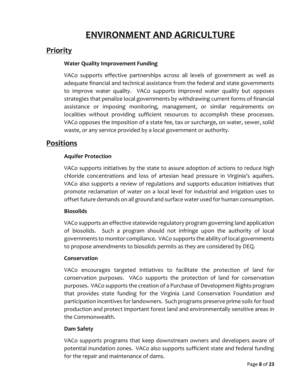# **ENVIRONMENT AND AGRICULTURE**

# **Priority**

### **Water Quality Improvement Funding**

VACo supports effective partnerships across all levels of government as well as adequate financial and technical assistance from the federal and state governments to improve water quality. VACo supports improved water quality but opposes strategies that penalize local governments by withdrawing current forms of financial assistance or imposing monitoring, management, or similar requirements on localities without providing sufficient resources to accomplish these processes. VACo opposes the imposition of a state fee, tax or surcharge, on water, sewer, solid waste, or any service provided by a local government or authority.

# **Positions**

### **Aquifer Protection**

VACo supports initiatives by the state to assure adoption of actions to reduce high chloride concentrations and loss of artesian head pressure in Virginia's aquifers. VACo also supports a review of regulations and supports education initiatives that promote reclamation of water on a local level for industrial and irrigation uses to offset future demands on all ground and surface water used for human consumption.

### **Biosolids**

VACo supports an effective statewide regulatory program governing land application of biosolids. Such a program should not infringe upon the authority of local governments to monitor compliance. VACo supports the ability of local governments to propose amendments to biosolids permits as they are considered by DEQ.

### **Conservation**

VACo encourages targeted initiatives to facilitate the protection of land for conservation purposes. VACo supports the protection of land for conservation purposes. VACo supports the creation of a Purchase of Development Rights program that provides state funding for the Virginia Land Conservation Foundation and participation incentives for landowners. Such programs preserve prime soils for food production and protect important forest land and environmentally sensitive areas in the Commonwealth.

### **Dam Safety**

VACo supports programs that keep downstream owners and developers aware of potential inundation zones. VACo also supports sufficient state and federal funding for the repair and maintenance of dams.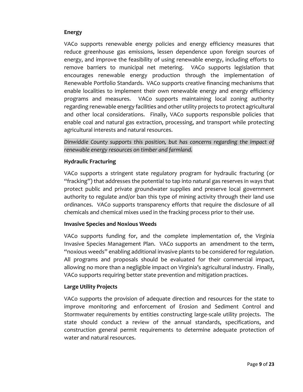# **Energy**

VACo supports renewable energy policies and energy efficiency measures that reduce greenhouse gas emissions, lessen dependence upon foreign sources of energy, and improve the feasibility of using renewable energy, including efforts to remove barriers to municipal net metering. VACo supports legislation that encourages renewable energy production through the implementation of Renewable Portfolio Standards. VACo supports creative financing mechanisms that enable localities to implement their own renewable energy and energy efficiency programs and measures. VACo supports maintaining local zoning authority regarding renewable energy facilities and other utility projects to protect agricultural and other local considerations. Finally, VACo supports responsible policies that enable coal and natural gas extraction, processing, and transport while protecting agricultural interests and natural resources.

*Dinwiddie County supports this position, but has concerns regarding the impact of renewable energy resources on timber and farmland.*

### **Hydraulic Fracturing**

VACo supports a stringent state regulatory program for hydraulic fracturing (or "fracking") that addresses the potential to tap into natural gas reserves in ways that protect public and private groundwater supplies and preserve local government authority to regulate and/or ban this type of mining activity through their land use ordinances. VACo supports transparency efforts that require the disclosure of all chemicals and chemical mixes used in the fracking process prior to their use.

### **Invasive Species and Noxious Weeds**

VACo supports funding for, and the complete implementation of, the Virginia Invasive Species Management Plan. VACo supports an amendment to the term, "noxious weeds" enabling additional invasive plants to be considered for regulation. All programs and proposals should be evaluated for their commercial impact, allowing no more than a negligible impact on Virginia's agricultural industry. Finally, VACo supports requiring better state prevention and mitigation practices.

# **Large Utility Projects**

VACo supports the provision of adequate direction and resources for the state to improve monitoring and enforcement of Erosion and Sediment Control and Stormwater requirements by entities constructing large-scale utility projects. The state should conduct a review of the annual standards, specifications, and construction general permit requirements to determine adequate protection of water and natural resources.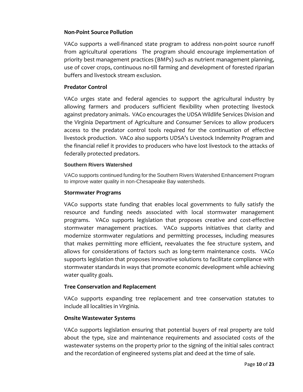### **Non-Point Source Pollution**

VACo supports a well-financed state program to address non-point source runoff from agricultural operations The program should encourage implementation of priority best management practices (BMPs) such as nutrient management planning, use of cover crops, continuous no-till farming and development of forested riparian buffers and livestock stream exclusion.

### **Predator Control**

VACo urges state and federal agencies to support the agricultural industry by allowing farmers and producers sufficient flexibility when protecting livestock against predatory animals. VACo encourages the UDSA Wildlife Services Division and the Virginia Department of Agriculture and Consumer Services to allow producers access to the predator control tools required for the continuation of effective livestock production. VACo also supports UDSA's Livestock Indemnity Program and the financial relief it provides to producers who have lost livestock to the attacks of federally protected predators.

### **Southern Rivers Watershed**

VACo supports continued funding for the Southern Rivers Watershed Enhancement Program to improve water quality in non-Chesapeake Bay watersheds.

### **Stormwater Programs**

VACo supports state funding that enables local governments to fully satisfy the resource and funding needs associated with local stormwater management programs. VACo supports legislation that proposes creative and cost-effective stormwater management practices. VACo supports initiatives that clarity and modernize stormwater regulations and permitting processes, including measures that makes permitting more efficient, reevaluates the fee structure system, and allows for considerations of factors such as long-term maintenance costs. VACo supports legislation that proposes innovative solutions to facilitate compliance with stormwater standards in ways that promote economic development while achieving water quality goals.

### **Tree Conservation and Replacement**

VACo supports expanding tree replacement and tree conservation statutes to include all localities in Virginia.

### **Onsite Wastewater Systems**

VACo supports legislation ensuring that potential buyers of real property are told about the type, size and maintenance requirements and associated costs of the wastewater systems on the property prior to the signing of the initial sales contract and the recordation of engineered systems plat and deed at the time of sale.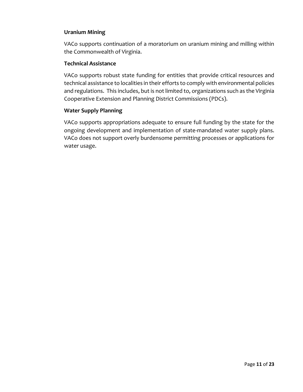### **Uranium Mining**

VACo supports continuation of a moratorium on uranium mining and milling within the Commonwealth of Virginia.

### **Technical Assistance**

VACo supports robust state funding for entities that provide critical resources and technical assistance to localities in their efforts to comply with environmental policies and regulations. This includes, but is not limited to, organizations such as the Virginia Cooperative Extension and Planning District Commissions (PDCs).

### **Water Supply Planning**

VACo supports appropriations adequate to ensure full funding by the state for the ongoing development and implementation of state-mandated water supply plans. VACo does not support overly burdensome permitting processes or applications for water usage.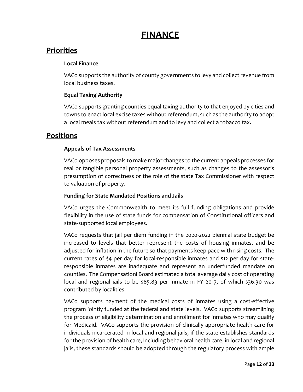# **FINANCE**

# **Priorities**

# **Local Finance**

VACo supports the authority of county governments to levy and collect revenue from local business taxes.

# **Equal Taxing Authority**

VACo supports granting counties equal taxing authority to that enjoyed by cities and towns to enact local excise taxes without referendum, such as the authority to adopt a local meals tax without referendum and to levy and collect a tobacco tax.

# **Positions**

# **Appeals of Tax Assessments**

VACo opposes proposals to make major changes to the current appeals processes for real or tangible personal property assessments, such as changes to the assessor's presumption of correctness or the role of the state Tax Commissioner with respect to valuation of property.

# **Funding for State Mandated Positions and Jails**

VACo urges the Commonwealth to meet its full funding obligations and provide flexibility in the use of state funds for compensation of Constitutional officers and state-supported local employees.

VACo requests that jail per diem funding in the 2020-2022 biennial state budget be increased to levels that better represent the costs of housing inmates, and be adjusted for inflation in the future so that payments keep pace with rising costs. The current rates of \$4 per day for local-responsible inmates and \$12 per day for stateresponsible inmates are inadequate and represent an underfunded mandate on counties. The Compensationi Board estimated a total average daily cost of operating local and regional jails to be \$85.83 per inmate in FY 2017, of which \$36.30 was contributed by localities.

VACo supports payment of the medical costs of inmates using a cost-effective program jointly funded at the federal and state levels. VACo supports streamlining the process of eligibility determination and enrollment for inmates who may qualify for Medicaid. VACo supports the provision of clinically appropriate health care for individuals incarcerated in local and regional jails; if the state establishes standards for the provision of health care, including behavioral health care, in local and regional jails, these standards should be adopted through the regulatory process with ample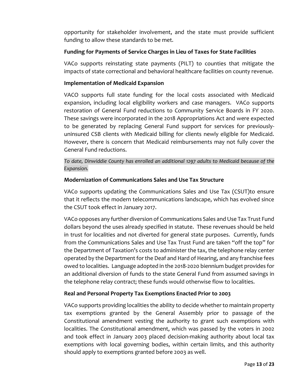opportunity for stakeholder involvement, and the state must provide sufficient funding to allow these standards to be met.

# **Funding for Payments of Service Charges in Lieu of Taxes for State Facilities**

VACo supports reinstating state payments (PILT) to counties that mitigate the impacts of state correctional and behavioral healthcare facilities on county revenue.

# **Implementation of Medicaid Expansion**

VACO supports full state funding for the local costs associated with Medicaid expansion, including local eligibility workers and case managers. VACo supports restoration of General Fund reductions to Community Service Boards in FY 2020. These savings were incorporated in the 2018 Appropriations Act and were expected to be generated by replacing General Fund support for services for previouslyuninsured CSB clients with Medicaid billing for clients newly eligible for Medicaid. However, there is concern that Medicaid reimbursements may not fully cover the General Fund reductions.

*To date, Dinwiddie County has enrolled an additional 1297 adults to Medicaid because of the Expansion.*

### **Modernization of Communications Sales and Use Tax Structure**

VACo supports updating the Communications Sales and Use Tax (CSUT)to ensure that it reflects the modern telecommunications landscape, which has evolved since the CSUT took effect in January 2017.

VACo opposes any further diversion of Communications Sales and Use Tax Trust Fund dollars beyond the uses already specified in statute. These revenues should be held in trust for localities and not diverted for general state purposes. Currently, funds from the Communications Sales and Use Tax Trust Fund are taken "off the top" for the Department of Taxation's costs to administer the tax, the telephone relay center operated by the Department for the Deaf and Hard of Hearing, and any franchise fees owed to localities. Language adopted in the 2018-2020 biennium budget provides for an additional diversion of funds to the state General Fund from assumed savings in the telephone relay contract; these funds would otherwise flow to localities.

# **Real and Personal Property Tax Exemptions Enacted Prior to 2003**

VACo supports providing localities the ability to decide whether to maintain property tax exemptions granted by the General Assembly prior to passage of the Constitutional amendment vesting the authority to grant such exemptions with localities. The Constitutional amendment, which was passed by the voters in 2002 and took effect in January 2003 placed decision-making authority about local tax exemptions with local governing bodies, within certain limits, and this authority should apply to exemptions granted before 2003 as well.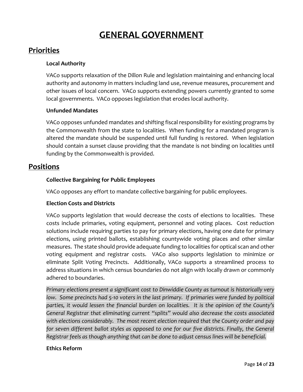# **GENERAL GOVERNMENT**

# **Priorities**

# **Local Authority**

VACo supports relaxation of the Dillon Rule and legislation maintaining and enhancing local authority and autonomy in matters including land use, revenue measures, procurement and other issues of local concern. VACo supports extending powers currently granted to some local governments. VACo opposes legislation that erodes local authority.

# **Unfunded Mandates**

VACo opposes unfunded mandates and shifting fiscal responsibility for existing programs by the Commonwealth from the state to localities. When funding for a mandated program is altered the mandate should be suspended until full funding is restored. When legislation should contain a sunset clause providing that the mandate is not binding on localities until funding by the Commonwealth is provided.

# **Positions**

# **Collective Bargaining for Public Employees**

VACo opposes any effort to mandate collective bargaining for public employees.

# **Election Costs and Districts**

VACo supports legislation that would decrease the costs of elections to localities. These costs include primaries, voting equipment, personnel and voting places. Cost reduction solutions include requiring parties to pay for primary elections, having one date for primary elections, using printed ballots, establishing countywide voting places and other similar measures. The state should provide adequate funding to localities for optical scan and other voting equipment and registrar costs. VACo also supports legislation to minimize or eliminate Split Voting Precincts. Additionally, VACo supports a streamlined process to address situations in which census boundaries do not align with locally drawn or commonly adhered to boundaries.

*Primary elections present a significant cost to Dinwiddie County as turnout is historically very*  low. Some precincts had 5-10 voters in the last primary. If primaries were funded by political *parties, it would lessen the financial burden on localities. It is the opinion of the County's General Registrar that eliminating current "splits" would also decrease the costs associated with elections considerably. The most recent election required that the County order and pay*  for seven different ballot styles as opposed to one for our five districts. Finally, the General *Registrar feels as though anything that can be done to adjust census lines will be beneficial.*

### **Ethics Reform**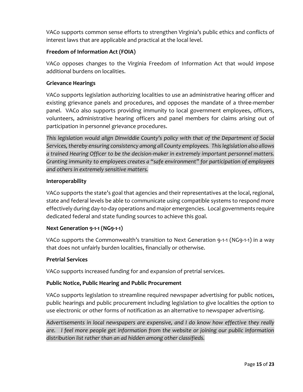VACo supports common sense efforts to strengthen Virginia's public ethics and conflicts of interest laws that are applicable and practical at the local level.

# **Freedom of Information Act (FOIA)**

VACo opposes changes to the Virginia Freedom of Information Act that would impose additional burdens on localities.

### **Grievance Hearings**

VACo supports legislation authorizing localities to use an administrative hearing officer and existing grievance panels and procedures, and opposes the mandate of a three-member panel. VACo also supports providing immunity to local government employees, officers, volunteers, administrative hearing officers and panel members for claims arising out of participation in personnel grievance procedures.

*This legislation would align Dinwiddie County's policy with that of the Department of Social Services, thereby ensuring consistency among all County employees. This legislation also allows a trained Hearing Officer to be the decision-maker in extremely important personnel matters. Granting immunity to employees creates a "safe environment" for participation of employees and others in extremely sensitive matters.*

### **Interoperability**

VACo supports the state's goal that agencies and their representatives at the local, regional, state and federal levels be able to communicate using compatible systems to respond more effectively during day-to-day operations and major emergencies. Local governments require dedicated federal and state funding sources to achieve this goal.

# **Next Generation 9-1-1 (NG9-1-1)**

VACo supports the Commonwealth's transition to Next Generation 9-1-1 (NG9-1-1) in a way that does not unfairly burden localities, financially or otherwise.

### **Pretrial Services**

VACo supports increased funding for and expansion of pretrial services.

### **Public Notice, Public Hearing and Public Procurement**

VACo supports legislation to streamline required newspaper advertising for public notices, public hearings and public procurement including legislation to give localities the option to use electronic or other forms of notification as an alternative to newspaper advertising.

*Advertisements in local newspapers are expensive, and I do know how effective they really are. I feel more people get information from the website or joining our public information distribution list rather than an ad hidden among other classifieds.*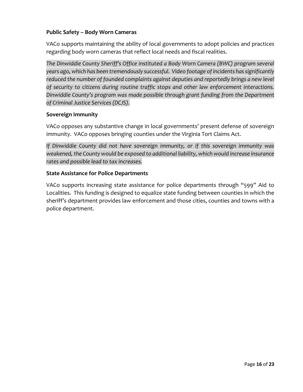# **Public Safety – Body Worn Cameras**

VACo supports maintaining the ability of local governments to adopt policies and practices regarding body worn cameras that reflect local needs and fiscal realities.

*The Dinwiddie County Sheriff's Office instituted a Body Worn Camera (BWC) program several years ago, which has been tremendously successful. Video footage of incidents has significantly*  reduced the number of founded complaints against deputies and reportedly brings a new level *of security to citizens during routine traffic stops and other law enforcement interactions. Dinwiddie County's program was made possible through grant funding from the Department of Criminal Justice Services (DCJS).*

### **Sovereign Immunity**

VACo opposes any substantive change in local governments' present defense of sovereign immunity. VACo opposes bringing counties under the Virginia Tort Claims Act.

*If Dinwiddie County did not have sovereign immunity, or if this sovereign immunity was weakened, the County would be exposed to additional liability, which would increase insurance rates and possible lead to tax increases.*

### **State Assistance for Police Departments**

VACo supports increasing state assistance for police departments through "599" Aid to Localities. This funding is designed to equalize state funding between counties in which the sheriff's department provides law enforcement and those cities, counties and towns with a police department.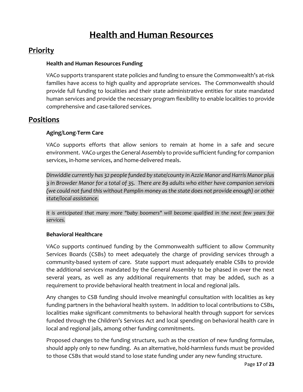# **Health and Human Resources**

# **Priority**

### **Health and Human Resources Funding**

VACo supports transparent state policies and funding to ensure the Commonwealth's at-risk families have access to high quality and appropriate services. The Commonwealth should provide full funding to localities and their state administrative entities for state mandated human services and provide the necessary program flexibility to enable localities to provide comprehensive and case-tailored services.

# **Positions**

### **Aging/Long-Term Care**

VACo supports efforts that allow seniors to remain at home in a safe and secure environment. VACo urges the General Assembly to provide sufficient funding for companion services, in-home services, and home-delivered meals.

*Dinwiddie currently has 32 people funded by state/county in Azzie Manor and Harris Manor plus 3 in Browder Manor for a total of 35. There are 89 adults who either have companion services (we could not fund this without Pamplin money as the state does not provide enough) or other state/local assistance.*

It is anticipated that many more "baby boomers" will become qualified in the next few years for *services.*

### **Behavioral Healthcare**

VACo supports continued funding by the Commonwealth sufficient to allow Community Services Boards (CSBs) to meet adequately the charge of providing services through a community-based system of care. State support must adequately enable CSBs to provide the additional services mandated by the General Assembly to be phased in over the next several years, as well as any additional requirements that may be added, such as a requirement to provide behavioral health treatment in local and regional jails.

Any changes to CSB funding should involve meaningful consultation with localities as key funding partners in the behavioral health system. In addition to local contributions to CSBs, localities make significant commitments to behavioral health through support for services funded through the Children's Services Act and local spending on behavioral health care in local and regional jails, among other funding commitments.

Proposed changes to the funding structure, such as the creation of new funding formulae, should apply only to new funding. As an alternative, hold-harmless funds must be provided to those CSBs that would stand to lose state funding under any new funding structure.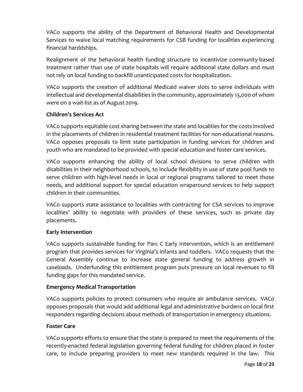VACo supports the ability of the Department of Behavioral Health and Developmental Services to waive local matching requirements for CSB funding for localities experiencing financial harddships.

Realignment of the behavioral health funding structure to incentivize community-based treatment rather than use of state hospitals will require additional state dollars and must not rely on local funding to backfill unanticipated costs for hospitalization.

VACo supports the creation of additional Medicaid waiver slots to serve individuals with intellectual and developmental disabilities in the community, approximately 13,000 of whom were on a wait-list as of August 2019.

# **Children's Services Act**

VACo supports equitable cost sharing between the state and localities for the costs involved in the placements of children in residential treatment facilities for non-educational reasons. VACo opposes proposals to limit state participation in funding services for children and youth who are mandated to be provided with special education and foster care services.

VACo supports enhancing the ability of local school divisions to serve children with disabilities in their neighborhood schools, to include flexibility in use of state pool funds to serve children with high-level needs in local or regional programs tailored to meet those needs, and additional support for special education wraparound services to help support children in their communities.

VACo supports state assistance to localities with contracting for CSA services to improve localities' ability to negotiate with providers of these services, such as private day placements.

# **Early Intervention**

VACo supports sustainable funding for Parc C Early Intervention, which is an entitlement program that provides services for Virginia's infants and toddlers. VACo requests that the General Assembly continue to increase state general funding to address growth in caseloads. Underfunding this entitlement program puts pressure on local revenues to fill funding gaps for this mandated service.

# **Emergency Medical Transportation**

VACo supports policies to protect consumers who require air ambulance services. VACo opposes proposals that would add additional legal and administrative burdens on local first responders regarding decisions about methods of transportation in emergency situations.

# **Foster Care**

VACo supports efforts to ensure that the state is prepared to meet the requirements of the recently-enacted federal legislation governing federal funding for children placed in foster care, to include preparing providers to meet new standards required in the law. This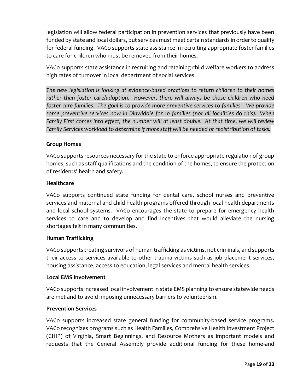legislation will allow federal participation in prevention services that previously have been funded by state and local dollars, but services must meet certain standards in order to qualify for federal funding. VACo supports state assistance in recruiting appropriate foster families to care for children who must be removed from their homes.

VACo supports state assistance in recruiting and retaining child welfare workers to address high rates of turnover in local department of social services.

*The new legislation is looking at evidence-based practices to return children to their homes rather than foster care/adoption. However, there will always be those children who need foster care families. The goal is to provide more preventive services to families. We provide some preventive services now in Dinwiddie for 10 families (not all localities do this). When Family First comes into effect, the number will at least double. At that time, we will review Family Services workload to determine if more staff will be needed or redistribution of tasks.*

# **Group Homes**

VACo supports resources necessary for the state to enforce appropriate regulation of group homes, such as staff qualifications and the condition of the homes, to ensure the protection of residents' health and safety.

### **Healthcare**

VACo supports continued state funding for dental care, school nurses and preventive services and maternal and child health programs offered through local health departments and local school systems. VACo encourages the state to prepare for emergency health services to care and to develop and find incentives that would alleviate the nursing shortages felt in many communities.

### **Human Trafficking**

VACo supports treating survivors of human trafficking as victims, not criminals, and supports their access to services available to other trauma victims such as job placement services, housing assistance, access to education, legal services and mental health services.

### **Local EMS Involvement**

VACo supports increased local involvement in state EMS planning to ensure statewide needs are met and to avoid imposing unnecessary barriers to volunteerism.

### **Prevention Services**

VACo supports increased state general funding for community-based service programs. VACo recognizes programs such as Health Families, Comprehsive Health Investment Project (CHIP) of Virginia, Smart Beginnings, and Resource Mothers as important models and requests that the General Assembly provide additional funding for these home-and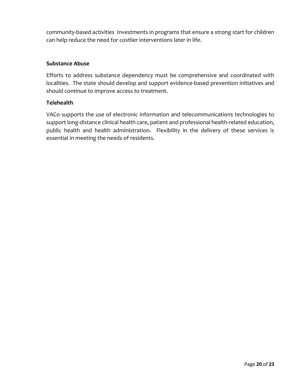community-based activities Investments in programs that ensure a strong start for children can help reduce the need for costlier interventions later in life.

### **Substance Abuse**

Efforts to address substance dependency must be comprehensive and coordinated with localities. The state should develop and support evidence-based prevention initiatives and should continue to improve access to treatment.

### **Telehealth**

VACo supports the use of electronic information and telecommunications technologies to support long-distance clinical health care, patient and professional health-related education, public health and health administration. Flexibility in the delivery of these services is essential in meeting the needs of residents.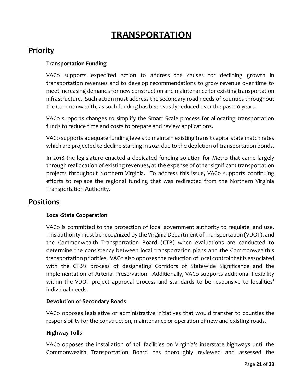# **TRANSPORTATION**

# **Priority**

### **Transportation Funding**

VACo supports expedited action to address the causes for declining growth in transportation revenues and to develop recommendations to grow revenue over time to meet increasing demands for new construction and maintenance for existing transportation infrastructure. Such action must address the secondary road needs of counties throughout the Commonwealth, as such funding has been vastly reduced over the past 10 years.

VACo supports changes to simplify the Smart Scale process for allocating transportation funds to reduce time and costs to prepare and review applications.

VACo supports adequate funding levels to maintain existing transit capital state match rates which are projected to decline starting in 2021 due to the depletion of transportation bonds.

In 2018 the legislature enacted a dedicated funding solution for Metro that came largely through reallocation of existing revenues, at the expense of other significant transportation projects throughout Northern Virginia. To address this issue, VACo supports continuing efforts to replace the regional funding that was redirected from the Northern Virginia Transportation Authority.

# **Positions**

### **Local-State Cooperation**

VACo is committed to the protection of local government authority to regulate land use. This authority must be recognized by the Virginia Department of Transportation (VDOT), and the Commonwealth Transportation Board (CTB) when evaluations are conducted to determine the consistency between local transportation plans and the Commonwealth's transportation priorities. VACo also opposes the reduction of local control that is associated with the CTB's process of designating Corridors of Statewide Significance and the implementation of Arterial Preservation. Additionally, VACo supports additional flexibility within the VDOT project approval process and standards to be responsive to localities' individual needs.

### **Devolution of Secondary Roads**

VACo opposes legislative or administrative initiatives that would transfer to counties the responsibility for the construction, maintenance or operation of new and existing roads.

### **Highway Tolls**

VACo opposes the installation of toll facilities on Virginia's interstate highways until the Commonwealth Transportation Board has thoroughly reviewed and assessed the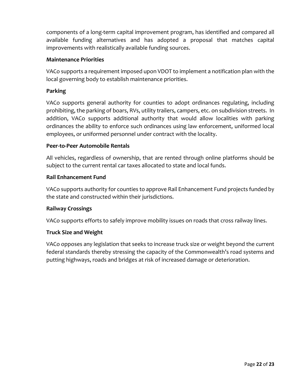components of a long-term capital improvement program, has identified and compared all available funding alternatives and has adopted a proposal that matches capital improvements with realistically available funding sources.

# **Maintenance Priorities**

VACo supports a requirement imposed upon VDOT to implement a notification plan with the local governing body to establish maintenance priorities.

### **Parking**

VACo supports general authority for counties to adopt ordinances regulating, including prohibiting, the parking of boars, RVs, utility trailers, campers, etc. on subdivision streets. In addition, VACo supports additional authority that would allow localities with parking ordinances the ability to enforce such ordinances using law enforcement, uniformed local employees, or uniformed personnel under contract with the locality.

### **Peer-to-Peer Automobile Rentals**

All vehicles, regardless of ownership, that are rented through online platforms should be subject to the current rental car taxes allocated to state and local funds.

### **Rail Enhancement Fund**

VACo supports authority for counties to approve Rail Enhancement Fund projects funded by the state and constructed within their jurisdictions.

### **Railway Crossings**

VACo supports efforts to safely improve mobility issues on roads that cross railway lines.

### **Truck Size and Weight**

VACo opposes any legislation that seeks to increase truck size or weight beyond the current federal standards thereby stressing the capacity of the Commonwealth's road systems and putting highways, roads and bridges at risk of increased damage or deterioration.